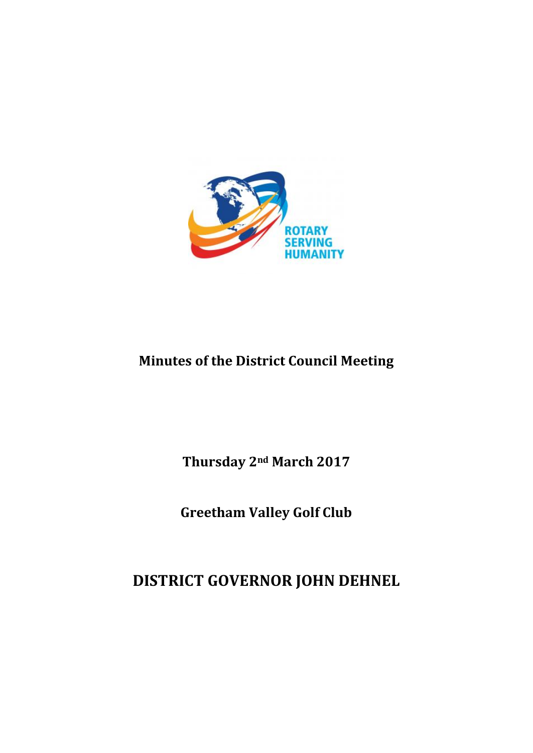

# **Minutes of the District Council Meeting**

**Thursday 2nd March 2017**

**Greetham Valley Golf Club**

**DISTRICT GOVERNOR JOHN DEHNEL**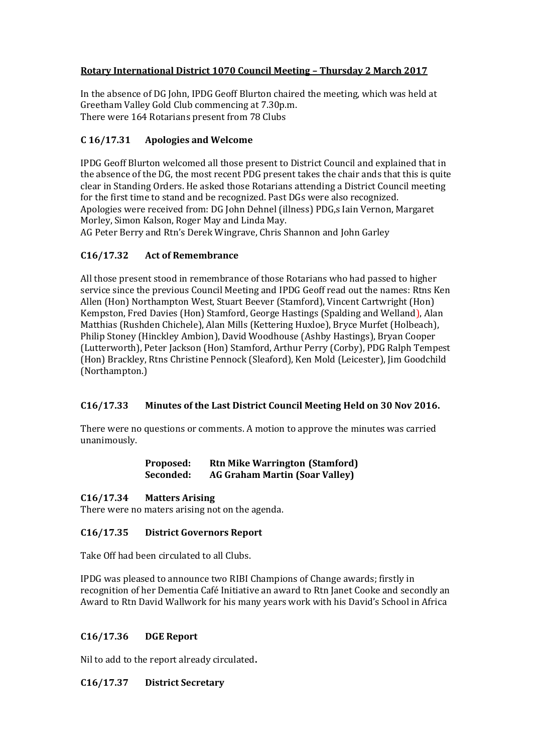## **Rotary International District 1070 Council Meeting – Thursday 2 March 2017**

In the absence of DG John, IPDG Geoff Blurton chaired the meeting, which was held at Greetham Valley Gold Club commencing at 7.30p.m. There were 164 Rotarians present from 78 Clubs

## **C 16/17.31 Apologies and Welcome**

IPDG Geoff Blurton welcomed all those present to District Council and explained that in the absence of the DG, the most recent PDG present takes the chair ands that this is quite clear in Standing Orders. He asked those Rotarians attending a District Council meeting for the first time to stand and be recognized. Past DGs were also recognized. Apologies were received from: DG John Dehnel (illness) PDG,s Iain Vernon, Margaret Morley, Simon Kalson, Roger May and Linda May.

AG Peter Berry and Rtn's Derek Wingrave, Chris Shannon and John Garley

# **C16/17.32 Act of Remembrance**

All those present stood in remembrance of those Rotarians who had passed to higher service since the previous Council Meeting and IPDG Geoff read out the names: Rtns Ken Allen (Hon) Northampton West, Stuart Beever (Stamford), Vincent Cartwright (Hon) Kempston, Fred Davies (Hon) Stamford, George Hastings (Spalding and Welland), Alan Matthias (Rushden Chichele), Alan Mills (Kettering Huxloe), Bryce Murfet (Holbeach), Philip Stoney (Hinckley Ambion), David Woodhouse (Ashby Hastings), Bryan Cooper (Lutterworth), Peter Jackson (Hon) Stamford, Arthur Perry (Corby), PDG Ralph Tempest (Hon) Brackley, Rtns Christine Pennock (Sleaford), Ken Mold (Leicester), Jim Goodchild (Northampton.)

## **C16/17.33 Minutes of the Last District Council Meeting Held on 30 Nov 2016.**

There were no questions or comments. A motion to approve the minutes was carried unanimously.

#### **Proposed: Rtn Mike Warrington (Stamford) Seconded: AG Graham Martin (Soar Valley)**

## **C16/17.34 Matters Arising**

There were no maters arising not on the agenda.

## **C16/17.35 District Governors Report**

Take Off had been circulated to all Clubs.

IPDG was pleased to announce two RIBI Champions of Change awards; firstly in recognition of her Dementia Café Initiative an award to Rtn Janet Cooke and secondly an Award to Rtn David Wallwork for his many years work with his David's School in Africa

## **C16/17.36 DGE Report**

Nil to add to the report already circulated**.**

## **C16/17.37 District Secretary**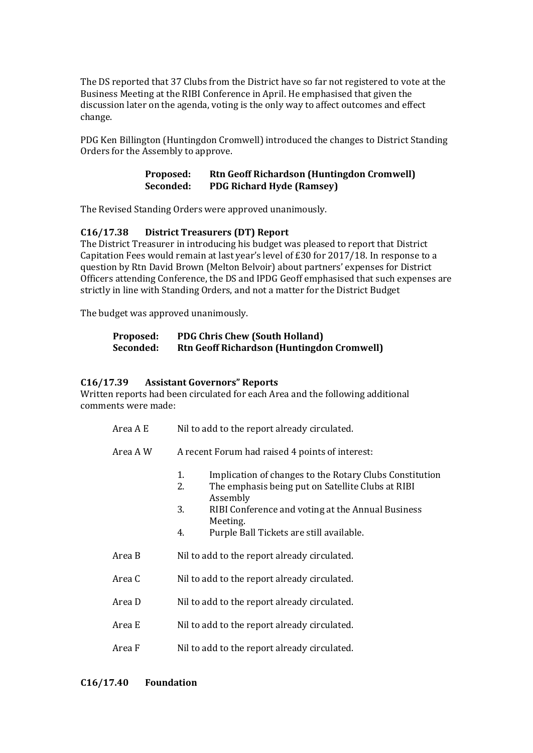The DS reported that 37 Clubs from the District have so far not registered to vote at the Business Meeting at the RIBI Conference in April. He emphasised that given the discussion later on the agenda, voting is the only way to affect outcomes and effect change.

PDG Ken Billington (Huntingdon Cromwell) introduced the changes to District Standing Orders for the Assembly to approve.

#### **Proposed: Rtn Geoff Richardson (Huntingdon Cromwell) Seconded: PDG Richard Hyde (Ramsey)**

The Revised Standing Orders were approved unanimously.

## **C16/17.38 District Treasurers (DT) Report**

The District Treasurer in introducing his budget was pleased to report that District Capitation Fees would remain at last year's level of £30 for 2017/18. In response to a question by Rtn David Brown (Melton Belvoir) about partners' expenses for District Officers attending Conference, the DS and IPDG Geoff emphasised that such expenses are strictly in line with Standing Orders, and not a matter for the District Budget

The budget was approved unanimously.

#### **Proposed: PDG Chris Chew (South Holland) Seconded: Rtn Geoff Richardson (Huntingdon Cromwell)**

#### **C16/17.39 Assistant Governors" Reports**

Written reports had been circulated for each Area and the following additional comments were made:

- Area A E Nil to add to the report already circulated.
- Area A W A recent Forum had raised 4 points of interest:
	- 1. Implication of changes to the Rotary Clubs Constitution<br>2. The emphasis being put on Satellite Clubs at RIBI
	- The emphasis being put on Satellite Clubs at RIBI Assembly
	- 3. RIBI Conference and voting at the Annual Business Meeting.
	- 4. Purple Ball Tickets are still available.
- Area B Nil to add to the report already circulated.
- Area C Nil to add to the report already circulated.
- Area D Nil to add to the report already circulated.
- Area E Nil to add to the report already circulated.
- Area F Nil to add to the report already circulated.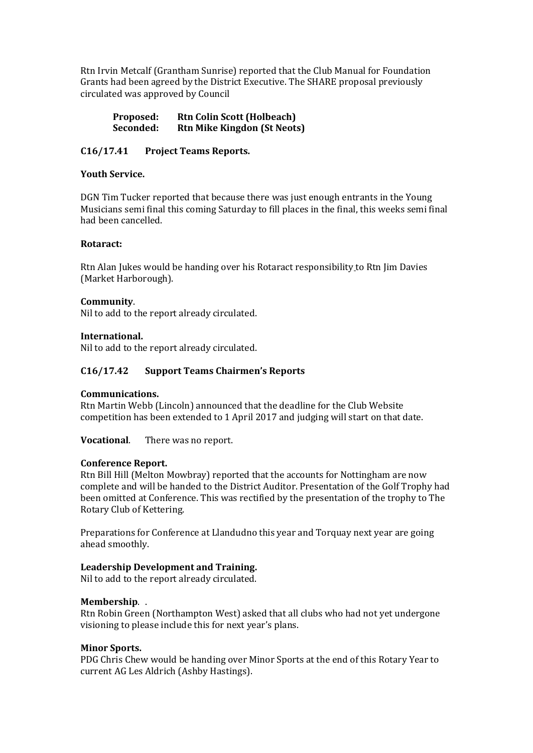Rtn Irvin Metcalf (Grantham Sunrise) reported that the Club Manual for Foundation Grants had been agreed by the District Executive. The SHARE proposal previously circulated was approved by Council

**Proposed: Rtn Colin Scott (Holbeach) Seconded: Rtn Mike Kingdon (St Neots)**

#### **C16/17.41 Project Teams Reports.**

#### **Youth Service.**

DGN Tim Tucker reported that because there was just enough entrants in the Young Musicians semi final this coming Saturday to fill places in the final, this weeks semi final had been cancelled.

#### **Rotaract:**

Rtn Alan Jukes would be handing over his Rotaract responsibility to Rtn Jim Davies (Market Harborough).

#### **Community**.

Nil to add to the report already circulated.

#### **International.**

Nil to add to the report already circulated.

#### **C16/17.42 Support Teams Chairmen's Reports**

#### **Communications.**

Rtn Martin Webb (Lincoln) announced that the deadline for the Club Website competition has been extended to 1 April 2017 and judging will start on that date.

**Vocational**. There was no report.

#### **Conference Report.**

Rtn Bill Hill (Melton Mowbray) reported that the accounts for Nottingham are now complete and will be handed to the District Auditor. Presentation of the Golf Trophy had been omitted at Conference. This was rectified by the presentation of the trophy to The Rotary Club of Kettering.

Preparations for Conference at Llandudno this year and Torquay next year are going ahead smoothly.

#### **Leadership Development and Training.**

Nil to add to the report already circulated.

#### **Membership**. .

Rtn Robin Green (Northampton West) asked that all clubs who had not yet undergone visioning to please include this for next year's plans.

#### **Minor Sports.**

PDG Chris Chew would be handing over Minor Sports at the end of this Rotary Year to current AG Les Aldrich (Ashby Hastings).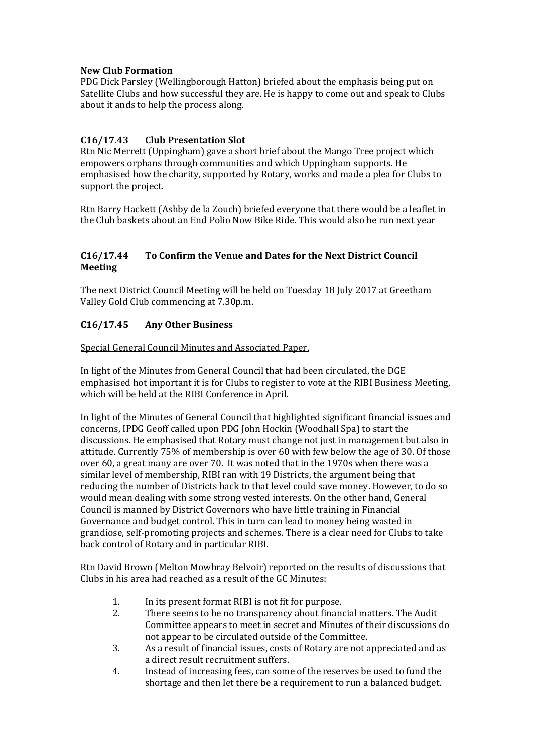## **New Club Formation**

PDG Dick Parsley (Wellingborough Hatton) briefed about the emphasis being put on Satellite Clubs and how successful they are. He is happy to come out and speak to Clubs about it ands to help the process along.

# **C16/17.43 Club Presentation Slot**

Rtn Nic Merrett (Uppingham) gave a short brief about the Mango Tree project which empowers orphans through communities and which Uppingham supports. He emphasised how the charity, supported by Rotary, works and made a plea for Clubs to support the project.

Rtn Barry Hackett (Ashby de la Zouch) briefed everyone that there would be a leaflet in the Club baskets about an End Polio Now Bike Ride. This would also be run next year

## **C16/17.44 To Confirm the Venue and Dates for the Next District Council Meeting**

The next District Council Meeting will be held on Tuesday 18 July 2017 at Greetham Valley Gold Club commencing at 7.30p.m.

# **C16/17.45 Any Other Business**

Special General Council Minutes and Associated Paper.

In light of the Minutes from General Council that had been circulated, the DGE emphasised hot important it is for Clubs to register to vote at the RIBI Business Meeting, which will be held at the RIBI Conference in April.

In light of the Minutes of General Council that highlighted significant financial issues and concerns, IPDG Geoff called upon PDG John Hockin (Woodhall Spa) to start the discussions. He emphasised that Rotary must change not just in management but also in attitude. Currently 75% of membership is over 60 with few below the age of 30. Of those over 60, a great many are over 70. It was noted that in the 1970s when there was a similar level of membership, RIBI ran with 19 Districts, the argument being that reducing the number of Districts back to that level could save money. However, to do so would mean dealing with some strong vested interests. On the other hand, General Council is manned by District Governors who have little training in Financial Governance and budget control. This in turn can lead to money being wasted in grandiose, self-promoting projects and schemes. There is a clear need for Clubs to take back control of Rotary and in particular RIBI.

Rtn David Brown (Melton Mowbray Belvoir) reported on the results of discussions that Clubs in his area had reached as a result of the GC Minutes:

- 1. In its present format RIBI is not fit for purpose.
- 2. There seems to be no transparency about financial matters. The Audit Committee appears to meet in secret and Minutes of their discussions do not appear to be circulated outside of the Committee.
- 3. As a result of financial issues, costs of Rotary are not appreciated and as a direct result recruitment suffers.
- 4. Instead of increasing fees, can some of the reserves be used to fund the shortage and then let there be a requirement to run a balanced budget.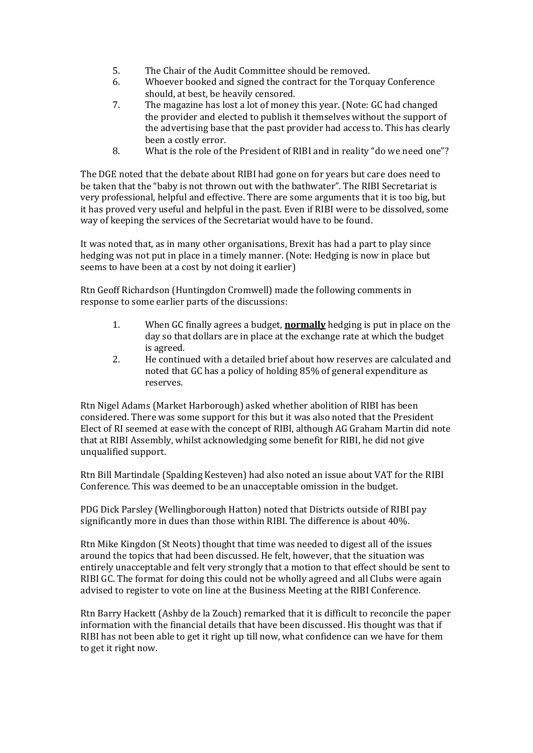- 5. The Chair of the Audit Committee should be removed.
- 6. Whoever booked and signed the contract for the Torquay Conference should, at best, be heavily censored.
- 7. The magazine has lost a lot of money this year. (Note: GC had changed the provider and elected to publish it themselves without the support of the advertising base that the past provider had access to. This has clearly been a costly error.
- 8. What is the role of the President of RIBI and in reality "do we need one"?

The DGE noted that the debate about RIBI had gone on for years but care does need to be taken that the "baby is not thrown out with the bathwater". The RIBI Secretariat is very professional, helpful and effective. There are some arguments that it is too big, but it has proved very useful and helpful in the past. Even if RIBI were to be dissolved, some way of keeping the services of the Secretariat would have to be found.

It was noted that, as in many other organisations, Brexit has had a part to play since hedging was not put in place in a timely manner. (Note: Hedging is now in place but seems to have been at a cost by not doing it earlier)

Rtn Geoff Richardson (Huntingdon Cromwell) made the following comments in response to some earlier parts of the discussions:

- 1. When GC finally agrees a budget, **normally** hedging is put in place on the day so that dollars are in place at the exchange rate at which the budget is agreed.
- 2. He continued with a detailed brief about how reserves are calculated and noted that GC has a policy of holding 85% of general expenditure as reserves.

Rtn Nigel Adams (Market Harborough) asked whether abolition of RIBI has been considered. There was some support for this but it was also noted that the President Elect of RI seemed at ease with the concept of RIBI, although AG Graham Martin did note that at RIBI Assembly, whilst acknowledging some benefit for RIBI, he did not give unqualified support.

Rtn Bill Martindale (Spalding Kesteven) had also noted an issue about VAT for the RIBI Conference. This was deemed to be an unacceptable omission in the budget.

PDG Dick Parsley (Wellingborough Hatton) noted that Districts outside of RIBI pay significantly more in dues than those within RIBI. The difference is about 40%.

Rtn Mike Kingdon (St Neots) thought that time was needed to digest all of the issues around the topics that had been discussed. He felt, however, that the situation was entirely unacceptable and felt very strongly that a motion to that effect should be sent to RIBI GC. The format for doing this could not be wholly agreed and all Clubs were again advised to register to vote on line at the Business Meeting at the RIBI Conference.

Rtn Barry Hackett (Ashby de la Zouch) remarked that it is difficult to reconcile the paper information with the financial details that have been discussed. His thought was that if RIBI has not been able to get it right up till now, what confidence can we have for them to get it right now.